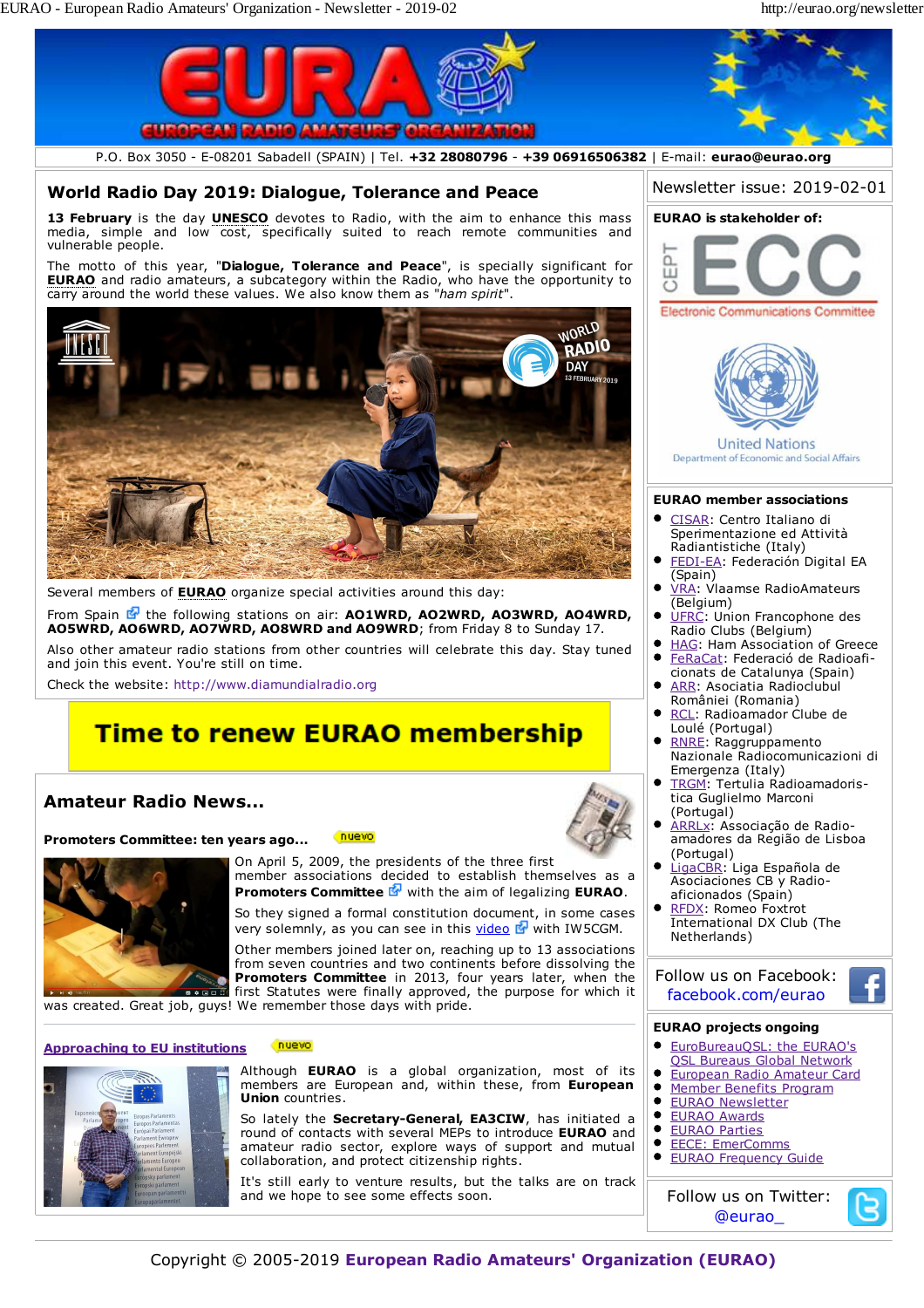